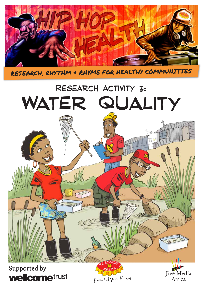

RESEARCH, RHYTHM & RHYME FOR HEALTHY COMMUNITIES

# Research Activity 3: WATER QUALITY

# Supported by **wellcome**trust

KNOWLEDGE IS NCAL!

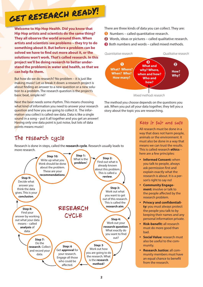# GET RESEARCH READY!

**Welcome to Hip Hop Health. Did you know that Hip Hop artists and scientists do the same thing? They all observe the world around them. When artists and scientists see problems – they try to do something about it. But before a problem can be solved we have to find out more about it, or the solutions won't work. That's called research. In this project we'll be doing research to better understand the problems in water and health, so that we can help fix them.** 

But how do we do research? No problem – it is just like making music! Let us break it down: a research project is about finding an answer to a new question or a new solution to a problem. The research question is the project's basic beat, simple né?

Next the beat needs some rhythm. This means choosing what kind of information you need to answer your research question and how you are going to collect it. The information you collect is called raw data. Data is like a single sound in a song – put it all together and you get an answer! Having only one data point is just noise, but lots of data points means music!

## The research cycle

Research is done in steps, called the **research cycle**. Research usually leads to more research.



There are three kinds of data you can collect. They are:

- **O** Numbers called quantitative research.
- **2** Words, ideas or pictures called qualitative research.
- Both numbers and words called mixed methods.



The method you choose depends on the questions you ask. When you put all your data together, they tell you a story about the topic you are researching.

#### Keep it fair and safe

All research must be done in a way that does not harm people, animals or the environment. It must also be done in a way that means we can trust the results. This is called research **ethics** – here are a few principles:

- **Informed Consent:** when you talk to people, always ask permission first and explain exactly what the research is about. It is a person's right to say no!
- y **Community Engagement:** involve or talk to the people affected by the research problem.
- **Privacy and confidentiality:** you must always protect the people you talk to by keeping their names and any personal information private.
- **Risk-benefit: all research** must do more good than bad.
- **Social Value:** research must also be useful to the community.
- y **Research Justice:** all community members must have an equal chance to benefit from the research.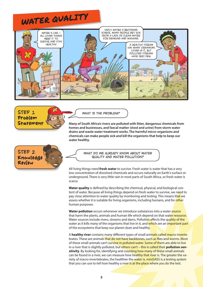# WATER QUALITY





*What is the problem?*

**Many of South Africa's rivers are polluted with litter, dangerous chemicals from homes and businesses, and faecal matter (stool and urine) from storm water drains and waste water treatment works. The harmful micro-organisms and chemicals can make people sick and kill the organisms that help to keep our water healthy.** 



*What do we already know about water quality and water pollution?*

All living things need **fresh water** to survive. Fresh water is water that has a very low concentration of dissolved chemicals and occurs naturally on Earth's surface or underground. There is very little rain in most parts of South Africa, so fresh water is scarce.

**Water quality** is defined by describing the chemical, physical, and biological content of water. Because all living things depend on fresh water to survive, we need to pay close attention to water quality by monitoring and testing. This means that we assess whether it is suitable for living organisms, including humans, and for other human purposes.

**Water pollution** occurs whenever we introduce substances into a water source that harm the plants, animals and human life which depend on that water resource. Water sources include rivers, streams and dams. Pollution affects the quality of the water as it kills many of the organisms that live in it, and which are an important part of the ecosystems that keep our planet clean and healthy.

A **healthy river** contains many different types of small animals called macro-invertebrates. These are animals that do not have backbones, such as flies and worms. Most of these small animals can't survive in polluted water. Some of them are able to live in a river that is slightly polluted, but others can't – this is called their **pollution sensitivity**. By looking for, identifying and counting how many of these small animals can be found in a river, we can measure how healthy that river is. The greater the variety of macro-invertebrates, the healthier the water is, miniSASS is a testing system that you can use to tell how healthy a river is at the place where you do the test.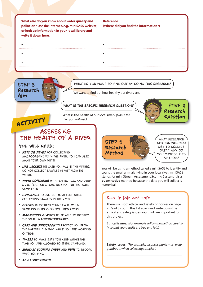**What else do you know about water quality and pollution? Use the Internet, e.g. miniSASS website, or look up information in your local library and write it down here. Reference (Where did you find the information?)** • • • • • •



**ACTIVITY** 

#### *What do you want to find out by doing this research?*

We want to find out how healthy our rivers are.

*What is the specific research question?*



**What is the health of our local river?** *(Name the river you will test.)*

### ASSESSING THE HEALTH OF A RIVER

#### **YOU WILL NEED:**

- *Nets or sieves for collecting macroorganisms in the river. You can also make your own nets!*
- *Life jackets (in case you fall in the water). DO NOT collect samples in fast flowing water.*
- *White container with flat bottom and deep sides. (e.g. ice cream tub) for putting your samples in.*
- *Gumboots to protect your feet while collecting samples in the river.*
- *Gloves to protect your health when sampling in seriously polluted rivers.*
- *Magnifying glasses to be able to identify the small macroinvertebrates.*
- *Caps and sunscreen to protect you from the harmful sun rays while you are working outside.*
- *Timers to make sure you keep within the time you are allowed to spend sampling.*
- *miniSASS scoring sheet and pens to record what you find.*
- *Adult supervision.*



You will be using a method called a miniSASS to identify and count the small animals living in your local river. miniSASS stands for mini Stream Assessment Scoring System. It is a **quantitative** method because the data you will collect is numerical.

#### Keep it fair and safe

There is a list of ethical and safety principles on page 2. Read through this list again and write down the ethical and safety issues you think are important for this project.

**Ethical issues:** *(For example, follow the method carefully so that your results are true and fair.)*

\_\_\_\_\_\_\_\_\_\_\_\_\_\_\_\_\_\_\_\_\_\_\_\_\_\_\_\_\_\_\_\_\_\_\_\_\_\_\_\_\_\_\_\_ \_\_\_\_\_\_\_\_\_\_\_\_\_\_\_\_\_\_\_\_\_\_\_\_\_\_\_\_\_\_\_\_\_\_\_\_\_\_\_\_\_\_\_\_

**Safety issues:** *(For example, all participants must wear gumboots when collecting samples.)*

\_\_\_\_\_\_\_\_\_\_\_\_\_\_\_\_\_\_\_\_\_\_\_\_\_\_\_\_\_\_\_\_\_\_\_\_\_\_\_\_\_\_\_\_ \_\_\_\_\_\_\_\_\_\_\_\_\_\_\_\_\_\_\_\_\_\_\_\_\_\_\_\_\_\_\_\_\_\_\_\_\_\_\_\_\_\_\_\_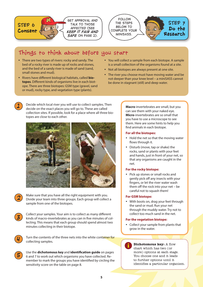



## Things to think about before you start

- There are two types of rivers: rocky and sandy. The bed of a rocky river is made up of rocks and stones, and the bed of a sandy river is made of sand (sand, small stones and mud).
- **•** Rivers have different biological habitats, called **biotopes**. Different kinds of organisms live in each biotope. There are three biotopes: GSM type (gravel, sand or mud), rocky type, and vegetation type (plants).
- You will collect a sample from each biotope. A sample is a small collection of the organisms found at a site.
- Not all biotopes are always present at one site.
- The river you choose must have moving water and be not deeper than your knee level – a miniSASS cannot be done in stagnant (still) and deep water.



Decide which local river you will use to collect samples. Then decide on the exact places you will go to. These are called collection sites. If possible, look for a place where all three biotopes are close to each other.





Make sure that you have all the right equipment with you. Divide your team into three groups. Each group will collect a sample from one of the biotopes.



Collect your samples. Your aim is to collect as many different kinds of macro-invertebrates as you can in five minutes of collecting. This means that each group should spend almost two minutes collecting in their biotope.



Turn the contents of the three nets into the white container for collecting samples.



Use the **dichotomous key** and **identification guide** on pages 6 and 7 to work out which organisms you have collected. Remember to mark the groups you have identified by circling the sensitivity score on the table on page 8.

**Macro**-invertebrates are small, but you can see them with your naked eye. **Micro**-invertebrates are so small that you have to use a microscope to see them. Here are some hints to help you find animals in each biotope.

#### **For all the biotopes:**

- Hold the net so that the moving water flows through it.
- Disturb (move, tap or shake) the rocks, sand or plants with your feet and hands, just in front of your net, so that any organisms are caught in the net.

#### **For the rocky biotope:**

• Pick up stones or small rocks and gently pick off any insects with your fingers, or let the river water wash them off the rock into your net – be careful not to squash them!

#### **For GSM biotope:**

• With boots on, drag your feet through the sand or mud. Run your net through the muddy water. Try not to collect too much sand in the net.

#### **For the vegetation biotope:**

• Collect your sample from plants that grow in the water.

i **Dichotomous key:** A flow chart which has two (or more) options at each stage. You choose one and it leads to further options until it identifies a particular organism.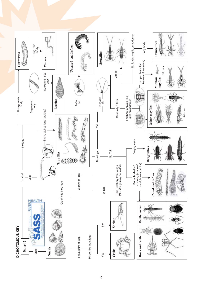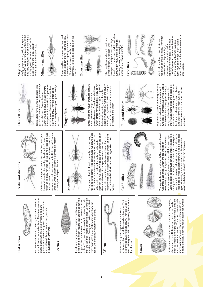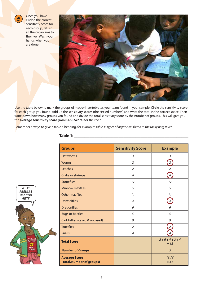

Once you have circled the correct sensitivity score for each group, return all the organisms to the river. Wash your hands when you are done.



Use the table below to mark the groups of macro-invertebrates your team found in your sample. Circle the sensitivity score for each group you found. Add up the sensitivity scores (the circled numbers) and write the total in the correct space. Then write down how many groups you found and divide the total sensitivity score by the number of groups. This will give you the **average sensitivity score (miniSASS Score)** for the river.

Remember always to give a table a heading, for example: *Table 1: Types of organisms found in the rocky Berg River*

| <b>Groups</b>                                    | <b>Sensitivity Score</b> | <b>Example</b>        |
|--------------------------------------------------|--------------------------|-----------------------|
| <b>Flat worms</b>                                | 3                        | 3                     |
| <b>Worms</b>                                     | $\overline{2}$           | $\overline{2}$        |
| Leeches                                          | 2                        | $\mathcal{P}$         |
| Crabs or shrimps                                 | 6                        | 6                     |
| <b>Stoneflies</b>                                | 17                       | 17                    |
| Minnow mayflies                                  | 5                        | 5                     |
| Other mayflies                                   | 11                       | 11                    |
| <b>Damselflies</b>                               | $\overline{4}$           | $\overline{4}$        |
| <b>Dragonflies</b>                               | 6                        | 6                     |
| <b>Bugs or beetles</b>                           | 5                        | 5                     |
| Caddisflies (cased & uncased)                    | 9                        | 9                     |
| <b>True flies</b>                                | $\overline{2}$           | $\overline{2}$        |
| <b>Snails</b>                                    | $\overline{4}$           | 4                     |
| <b>Total Score</b>                               |                          | $2+6+4+2+4$<br>$= 18$ |
| <b>Number of Groups</b>                          |                          | 5                     |
| <b>Average Score</b><br>(Total/Number of groups) |                          | 18/5<br>$= 3.6$       |

#### **Table 1: The state of the state of the state of the state of the state of the state of the state of the state of the state of the state of the state of the state of the state of the state of the state of the state of th**

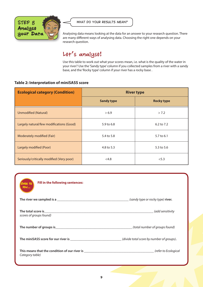

*What do your results mean?*

Analysing data means looking at the data for an answer to your research question. There are many different ways of analysing data. Choosing the right one depends on your research question.

## Let's analyse!

Use this table to work out what your scores mean, i.e. what is the quality of the water in your river? Use the 'Sandy type' column if you collected samples from a river with a sandy base, and the 'Rocky type' column if your river has a rocky base .

#### **Table 2: Interpretation of miniSASS score**

| <b>Ecological category (Condition)</b>    | <b>River type</b> |                   |
|-------------------------------------------|-------------------|-------------------|
|                                           | <b>Sandy type</b> | <b>Rocky type</b> |
| <b>Unmodified (Natural)</b>               | > 6.9             | > 7.2             |
| Largely natural/few modifications (Good)  | 5.9 to 6.8        | $6.2$ to $7.2$    |
| Moderately modified (Fair)                | 5.4 to 5.8        | 5.7 to 6.1        |
| Largely modified (Poor)                   | 4.8 to 5.3        | 5.3 to 5.6        |
| Seriously/critically modified (Very poor) | < 4.8             | < 5.3             |

| Fill in the following sentences:<br><b>OVER TO</b><br>YOU |                                            |
|-----------------------------------------------------------|--------------------------------------------|
|                                                           | _ (sandy type or rocky type) <b>river.</b> |
| scores of groups found)                                   | (add sensitivity                           |
| The number of groups is entertainment of groups is        | (total number of groups found)             |
|                                                           |                                            |
| Category table)                                           |                                            |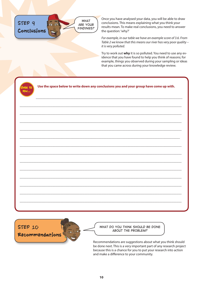

Once you have analysed your data, you will be able to draw conclusions. This means explaining what you think your results mean. To make real conclusions, you need to answer the question: 'why?'

*For example, in our table we have an example score of 3.6. From Table 2 we know that this means our river has very poor quality – it is very polluted.* 

Try to work out **why** it is so polluted. You need to use any evidence that you have found to help you think of reasons; for example, things you observed during your sampling or ideas that you came across during your knowledge review.

| U |  |
|---|--|
|   |  |

**Use the space below to write down any conclusions you and your group have come up with.** 

**\_\_\_\_\_\_\_\_\_\_\_\_\_\_\_\_\_\_\_\_\_\_\_\_\_\_\_\_\_\_\_\_\_\_\_\_\_\_\_\_\_\_\_\_\_\_\_\_\_\_\_\_\_\_\_\_\_\_\_\_\_\_\_\_\_\_\_\_\_\_\_\_\_\_\_\_\_\_\_\_\_\_\_\_\_\_\_\_\_\_\_\_\_\_\_**

**\_\_\_\_\_\_\_\_\_\_\_\_\_\_\_\_\_\_\_\_\_\_\_\_\_\_\_\_\_\_\_\_\_\_\_\_\_\_\_\_\_\_\_\_\_\_\_\_\_\_\_\_\_\_\_\_\_\_\_\_\_\_\_\_\_\_\_\_\_\_\_\_\_\_\_\_\_\_\_\_\_\_\_\_\_\_\_\_\_\_\_\_\_\_\_**

**\_\_\_\_\_\_\_\_\_\_\_\_\_\_\_\_\_\_\_\_\_\_\_\_\_\_\_\_\_\_\_\_\_\_\_\_\_\_\_\_\_\_\_\_\_\_\_\_\_\_\_\_\_\_\_\_\_\_\_\_\_\_\_\_\_\_\_\_\_\_\_\_\_\_\_\_\_\_\_\_\_\_\_\_\_\_\_\_\_\_\_\_\_\_\_**

**\_\_\_\_\_\_\_\_\_\_\_\_\_\_\_\_\_\_\_\_\_\_\_\_\_\_\_\_\_\_\_\_\_\_\_\_\_\_\_\_\_\_\_\_\_\_\_\_\_\_\_\_\_\_\_\_\_\_\_\_\_\_\_\_\_\_\_\_\_\_\_\_\_\_\_\_\_\_\_\_\_\_\_\_\_\_\_\_\_\_\_\_\_\_\_**

**\_\_\_\_\_\_\_\_\_\_\_\_\_\_\_\_\_\_\_\_\_\_\_\_\_\_\_\_\_\_\_\_\_\_\_\_\_\_\_\_\_\_\_\_\_\_\_\_\_\_\_\_\_\_\_\_\_\_\_\_\_\_\_\_\_\_\_\_\_\_\_\_\_\_\_\_\_\_\_\_\_\_\_\_\_\_\_\_\_\_\_\_\_\_**

**\_\_\_\_\_\_\_\_\_\_\_\_\_\_\_\_\_\_\_\_\_\_\_\_\_\_\_\_\_\_\_\_\_\_\_\_\_\_\_\_\_\_\_\_\_\_\_\_\_\_\_\_\_\_\_\_\_\_\_\_\_\_\_\_\_\_\_\_\_\_\_\_\_\_\_\_\_\_\_\_\_\_\_\_\_\_\_\_\_\_\_\_\_\_\_**

**\_\_\_\_\_\_\_\_\_\_\_\_\_\_\_\_\_\_\_\_\_\_\_\_\_\_\_\_\_\_\_\_\_\_\_\_\_\_\_\_\_\_\_\_\_\_\_\_\_\_\_\_\_\_\_\_\_\_\_\_\_\_\_\_\_\_\_\_\_\_\_\_\_\_\_\_\_\_\_\_\_\_\_\_\_\_\_\_\_\_\_\_\_\_\_**

**\_\_\_\_\_\_\_\_\_\_\_\_\_\_\_\_\_\_\_\_\_\_\_\_\_\_\_\_\_\_\_\_\_\_\_\_\_\_\_\_\_\_\_\_\_\_\_\_\_\_\_\_\_\_\_\_\_\_\_\_\_\_\_\_\_\_\_\_\_\_\_\_\_\_\_\_\_\_\_\_\_\_\_\_\_\_\_\_\_\_\_\_\_\_\_**

**\_\_\_\_\_\_\_\_\_\_\_\_\_\_\_\_\_\_\_\_\_\_\_\_\_\_\_\_\_\_\_\_\_\_\_\_\_\_\_\_\_\_\_\_\_\_\_\_\_\_\_\_\_\_\_\_\_\_\_\_\_\_\_\_\_\_\_\_\_\_\_\_\_\_\_\_\_\_\_\_\_\_\_\_\_\_\_\_\_\_\_\_\_\_\_**

**\_\_\_\_\_\_\_\_\_\_\_\_\_\_\_\_\_\_\_\_\_\_\_\_\_\_\_\_\_\_\_\_\_\_\_\_\_\_\_\_\_\_\_\_\_\_\_\_\_\_\_\_\_\_\_\_\_\_\_\_\_\_\_\_\_\_\_\_\_\_\_\_\_\_\_\_\_\_\_\_\_\_\_\_\_\_\_\_\_\_\_\_\_\_\_**

**\_\_\_\_\_\_\_\_\_\_\_\_\_\_\_\_\_\_\_\_\_\_\_\_\_\_\_\_\_\_\_\_\_\_\_\_\_\_\_\_\_\_\_\_\_\_\_\_\_\_\_\_\_\_\_\_\_\_\_\_\_\_\_\_\_\_\_\_\_\_\_\_\_\_\_\_\_\_\_\_\_\_\_\_\_\_\_\_\_\_\_\_\_\_\_**

**\_\_\_\_\_\_\_\_\_\_\_\_\_\_\_\_\_\_\_\_\_\_\_\_\_\_\_\_\_\_\_\_\_\_\_\_\_\_\_\_\_\_\_\_\_\_\_\_\_\_\_\_\_\_\_\_\_\_\_\_\_\_\_\_\_\_\_\_\_\_\_\_\_\_\_\_\_\_\_\_\_\_\_\_\_\_\_\_\_\_\_\_\_\_\_**

**\_\_\_\_\_\_\_\_\_\_\_\_\_\_\_\_\_\_\_\_\_\_\_\_\_\_\_\_\_\_\_\_\_\_\_\_\_\_\_\_\_\_\_\_\_\_\_\_\_\_\_\_\_\_\_\_\_\_\_\_\_\_\_\_\_\_\_\_\_\_\_\_\_\_\_\_\_\_\_\_\_\_\_\_\_\_\_\_\_\_\_\_\_\_\_**

**\_\_\_\_\_\_\_\_\_\_\_\_\_\_\_\_\_\_\_\_\_\_\_\_\_\_\_\_\_\_\_\_\_\_\_\_\_\_\_\_\_\_\_\_\_\_\_\_\_\_\_\_\_\_\_\_\_\_\_\_\_\_\_\_\_\_\_\_\_\_\_\_\_\_\_\_\_\_\_\_\_\_\_\_\_\_**

STEP 10





Recommendations are suggestions about what you think should be done next. This is a very important part of any research project because this is a chance for you to put your research into action and make a difference to your community.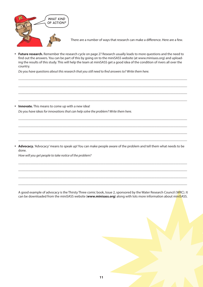

There are a number of ways that research can make a difference. Here are a few.

y **Future research.** Remember the research cycle on page 2? Research usually leads to more questions and the need to find out the answers. You can be part of this by going on to the miniSASS website (at www.minisass.org) and uploading the results of this study. This will help the team at miniSASS get a good idea of the condition of rivers all over the country.

 $\_$  , and the set of the set of the set of the set of the set of the set of the set of the set of the set of the set of the set of the set of the set of the set of the set of the set of the set of the set of the set of th

 $\_$  , and the set of the set of the set of the set of the set of the set of the set of the set of the set of the set of the set of the set of the set of the set of the set of the set of the set of the set of the set of th

 $\_$  , and the set of the set of the set of the set of the set of the set of the set of the set of the set of the set of the set of the set of the set of the set of the set of the set of the set of the set of the set of th

 $\_$  , and the set of the set of the set of the set of the set of the set of the set of the set of the set of the set of the set of the set of the set of the set of the set of the set of the set of the set of the set of th

 $\_$  , and the set of the set of the set of the set of the set of the set of the set of the set of the set of the set of the set of the set of the set of the set of the set of the set of the set of the set of the set of th

 $\_$  , and the set of the set of the set of the set of the set of the set of the set of the set of the set of the set of the set of the set of the set of the set of the set of the set of the set of the set of the set of th

 $\_$  , and the set of the set of the set of the set of the set of the set of the set of the set of the set of the set of the set of the set of the set of the set of the set of the set of the set of the set of the set of th

 $\_$  , and the set of the set of the set of the set of the set of the set of the set of the set of the set of the set of the set of the set of the set of the set of the set of the set of the set of the set of the set of th

 $\_$  , and the set of the set of the set of the set of the set of the set of the set of the set of the set of the set of the set of the set of the set of the set of the set of the set of the set of the set of the set of th

 $\_$  , and the set of the set of the set of the set of the set of the set of the set of the set of the set of the set of the set of the set of the set of the set of the set of the set of the set of the set of the set of th

 $\_$  , and the set of the set of the set of the set of the set of the set of the set of the set of the set of the set of the set of the set of the set of the set of the set of the set of the set of the set of the set of th

 $\_$  , and the set of the set of the set of the set of the set of the set of the set of the set of the set of the set of the set of the set of the set of the set of the set of the set of the set of the set of the set of th

*Do you have questions about this research that you still need to find answers to? Write them here.*

**• Innovate.** This means to come up with a new idea! *Do you have ideas for innovations that can help solve the problem? Write them here.*

**Advocacy.** 'Advocacy' means to speak up! You can make people aware of the problem and tell them what needs to be done.

*How will you get people to take notice of the problem?*

A good example of advocacy is the Thirsty Three comic book, Issue 2, sponsored by the Water Research Council (WRC). It can be downloaded from the miniSASS website (**www.minisass.org**) along with lots more information about miniSASS.